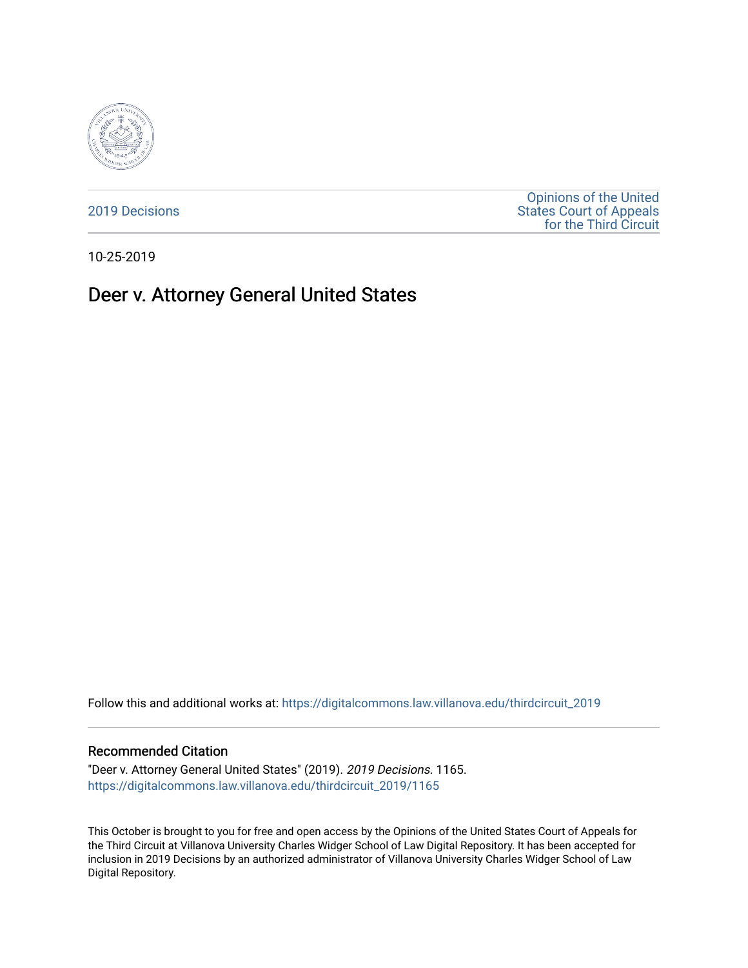

[2019 Decisions](https://digitalcommons.law.villanova.edu/thirdcircuit_2019)

[Opinions of the United](https://digitalcommons.law.villanova.edu/thirdcircuit)  [States Court of Appeals](https://digitalcommons.law.villanova.edu/thirdcircuit)  [for the Third Circuit](https://digitalcommons.law.villanova.edu/thirdcircuit) 

10-25-2019

# Deer v. Attorney General United States

Follow this and additional works at: [https://digitalcommons.law.villanova.edu/thirdcircuit\\_2019](https://digitalcommons.law.villanova.edu/thirdcircuit_2019?utm_source=digitalcommons.law.villanova.edu%2Fthirdcircuit_2019%2F1165&utm_medium=PDF&utm_campaign=PDFCoverPages) 

#### Recommended Citation

"Deer v. Attorney General United States" (2019). 2019 Decisions. 1165. [https://digitalcommons.law.villanova.edu/thirdcircuit\\_2019/1165](https://digitalcommons.law.villanova.edu/thirdcircuit_2019/1165?utm_source=digitalcommons.law.villanova.edu%2Fthirdcircuit_2019%2F1165&utm_medium=PDF&utm_campaign=PDFCoverPages) 

This October is brought to you for free and open access by the Opinions of the United States Court of Appeals for the Third Circuit at Villanova University Charles Widger School of Law Digital Repository. It has been accepted for inclusion in 2019 Decisions by an authorized administrator of Villanova University Charles Widger School of Law Digital Repository.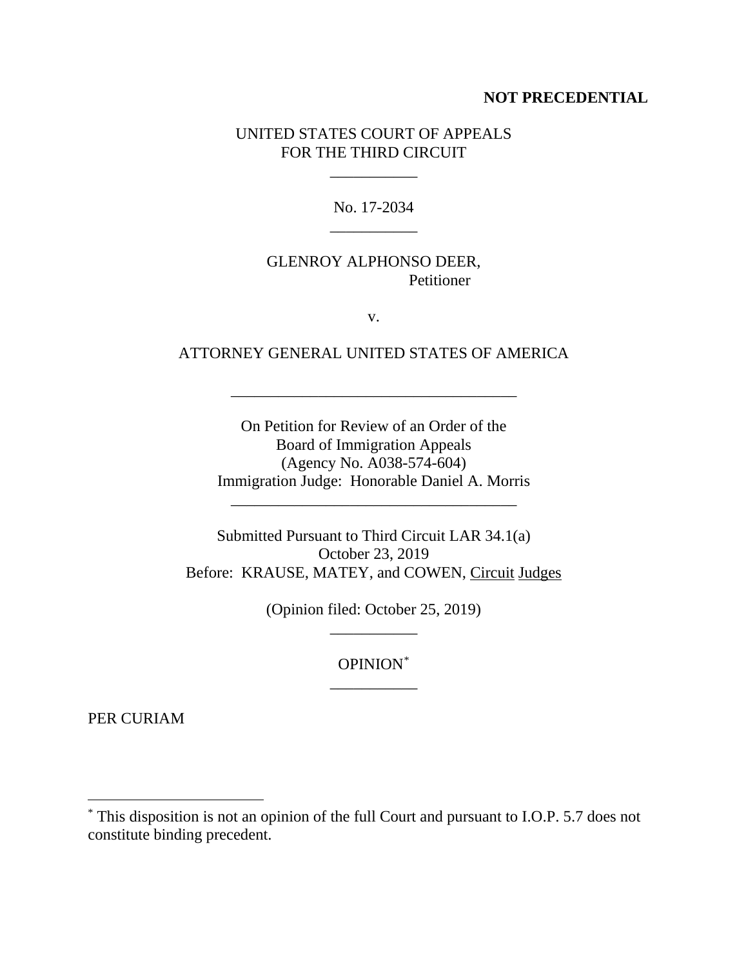#### **NOT PRECEDENTIAL**

## UNITED STATES COURT OF APPEALS FOR THE THIRD CIRCUIT

 $\mathcal{L}=\mathcal{L}=\mathcal{L}$ 

No. 17-2034 \_\_\_\_\_\_\_\_\_\_\_

## GLENROY ALPHONSO DEER, Petitioner

v.

#### ATTORNEY GENERAL UNITED STATES OF AMERICA

\_\_\_\_\_\_\_\_\_\_\_\_\_\_\_\_\_\_\_\_\_\_\_\_\_\_\_\_\_\_\_\_\_\_\_\_

On Petition for Review of an Order of the Board of Immigration Appeals (Agency No. A038-574-604) Immigration Judge: Honorable Daniel A. Morris

\_\_\_\_\_\_\_\_\_\_\_\_\_\_\_\_\_\_\_\_\_\_\_\_\_\_\_\_\_\_\_\_\_\_\_\_

Submitted Pursuant to Third Circuit LAR 34.1(a) October 23, 2019 Before: KRAUSE, MATEY, and COWEN, Circuit Judges

> (Opinion filed: October 25, 2019) \_\_\_\_\_\_\_\_\_\_\_

> > OPINION\* \_\_\_\_\_\_\_\_\_\_\_

PER CURIAM

 <sup>\*</sup> This disposition is not an opinion of the full Court and pursuant to I.O.P. 5.7 does not constitute binding precedent.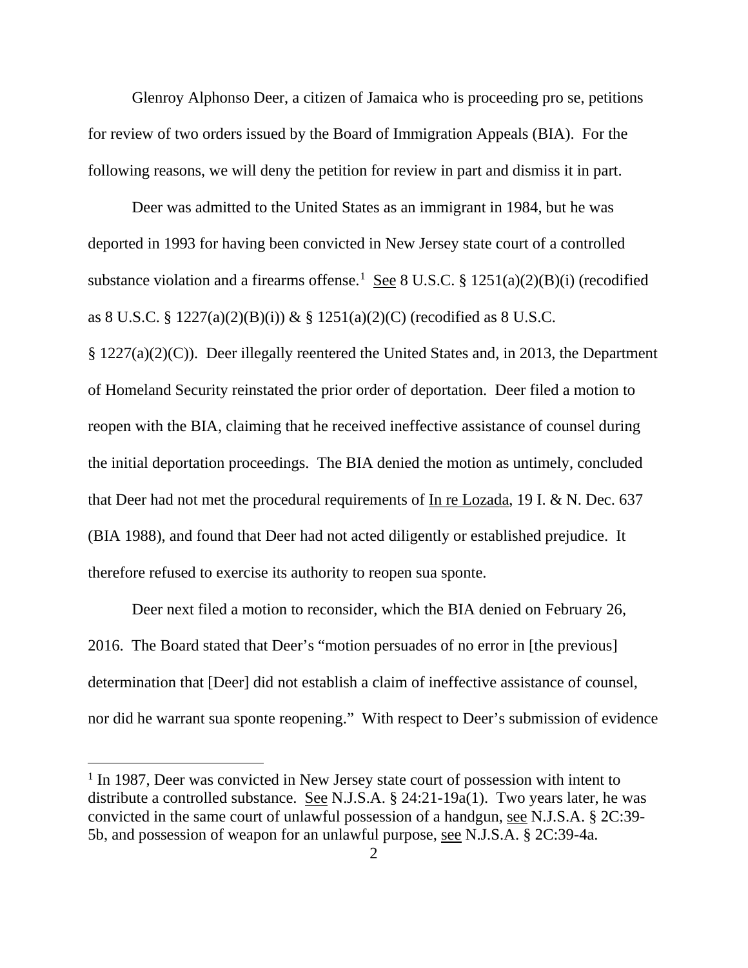Glenroy Alphonso Deer, a citizen of Jamaica who is proceeding pro se, petitions for review of two orders issued by the Board of Immigration Appeals (BIA). For the following reasons, we will deny the petition for review in part and dismiss it in part.

Deer was admitted to the United States as an immigrant in 1984, but he was deported in 1993 for having been convicted in New Jersey state court of a controlled substance violation and a firearms offense.<sup>1</sup> See 8 U.S.C. § 1251(a)(2)(B)(i) (recodified as 8 U.S.C. § 1227(a)(2)(B)(i)) & § 1251(a)(2)(C) (recodified as 8 U.S.C.

§ 1227(a)(2)(C)). Deer illegally reentered the United States and, in 2013, the Department of Homeland Security reinstated the prior order of deportation. Deer filed a motion to reopen with the BIA, claiming that he received ineffective assistance of counsel during the initial deportation proceedings. The BIA denied the motion as untimely, concluded that Deer had not met the procedural requirements of In re Lozada, 19 I. & N. Dec. 637 (BIA 1988), and found that Deer had not acted diligently or established prejudice. It therefore refused to exercise its authority to reopen sua sponte.

Deer next filed a motion to reconsider, which the BIA denied on February 26, 2016. The Board stated that Deer's "motion persuades of no error in [the previous] determination that [Deer] did not establish a claim of ineffective assistance of counsel, nor did he warrant sua sponte reopening." With respect to Deer's submission of evidence

<sup>&</sup>lt;sup>1</sup> In 1987, Deer was convicted in New Jersey state court of possession with intent to distribute a controlled substance. See N.J.S.A. § 24:21-19a(1). Two years later, he was convicted in the same court of unlawful possession of a handgun, see N.J.S.A. § 2C:39- 5b, and possession of weapon for an unlawful purpose, see N.J.S.A. § 2C:39-4a.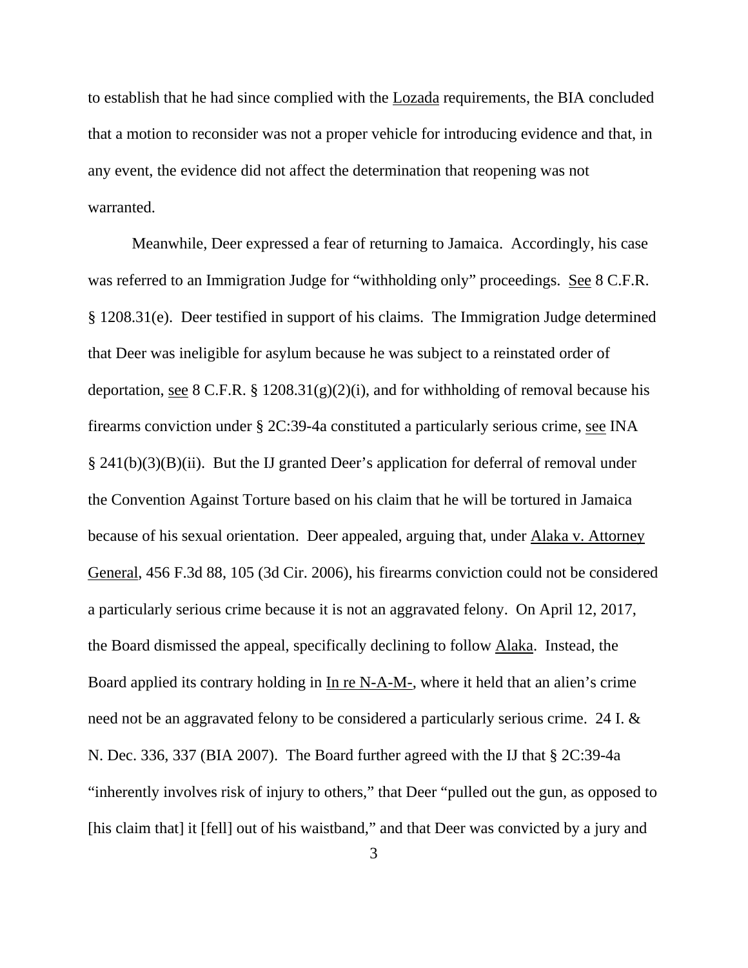to establish that he had since complied with the Lozada requirements, the BIA concluded that a motion to reconsider was not a proper vehicle for introducing evidence and that, in any event, the evidence did not affect the determination that reopening was not warranted.

Meanwhile, Deer expressed a fear of returning to Jamaica. Accordingly, his case was referred to an Immigration Judge for "withholding only" proceedings. See 8 C.F.R. § 1208.31(e). Deer testified in support of his claims. The Immigration Judge determined that Deer was ineligible for asylum because he was subject to a reinstated order of deportation, see 8 C.F.R. §  $1208.31(g)(2)(i)$ , and for withholding of removal because his firearms conviction under § 2C:39-4a constituted a particularly serious crime, see INA § 241(b)(3)(B)(ii). But the IJ granted Deer's application for deferral of removal under the Convention Against Torture based on his claim that he will be tortured in Jamaica because of his sexual orientation. Deer appealed, arguing that, under Alaka v. Attorney General, 456 F.3d 88, 105 (3d Cir. 2006), his firearms conviction could not be considered a particularly serious crime because it is not an aggravated felony. On April 12, 2017, the Board dismissed the appeal, specifically declining to follow Alaka. Instead, the Board applied its contrary holding in In re N-A-M-, where it held that an alien's crime need not be an aggravated felony to be considered a particularly serious crime. 24 I. & N. Dec. 336, 337 (BIA 2007). The Board further agreed with the IJ that § 2C:39-4a "inherently involves risk of injury to others," that Deer "pulled out the gun, as opposed to [his claim that] it [fell] out of his waistband," and that Deer was convicted by a jury and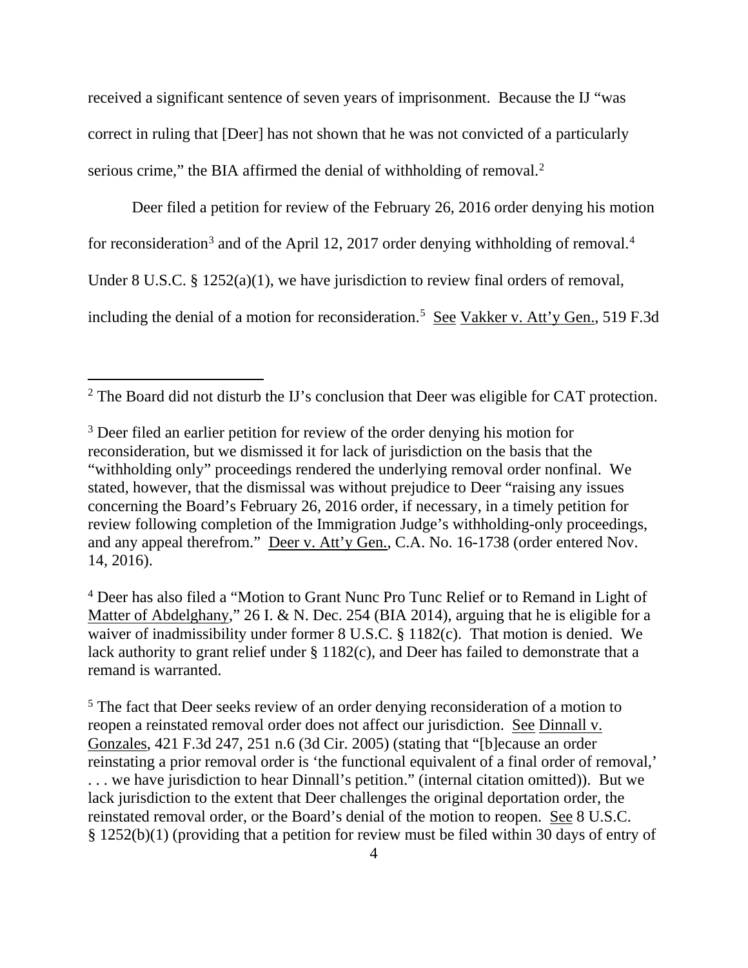received a significant sentence of seven years of imprisonment. Because the IJ "was correct in ruling that [Deer] has not shown that he was not convicted of a particularly serious crime," the BIA affirmed the denial of withholding of removal. $2$ 

Deer filed a petition for review of the February 26, 2016 order denying his motion for reconsideration<sup>3</sup> and of the April 12, 2017 order denying withholding of removal.<sup>4</sup> Under 8 U.S.C. § 1252(a)(1), we have jurisdiction to review final orders of removal, including the denial of a motion for reconsideration.<sup>5</sup> See Vakker v. Att'y Gen., 519 F.3d

<sup>2</sup> The Board did not disturb the IJ's conclusion that Deer was eligible for CAT protection.

<sup>4</sup> Deer has also filed a "Motion to Grant Nunc Pro Tunc Relief or to Remand in Light of Matter of Abdelghany," 26 I. & N. Dec. 254 (BIA 2014), arguing that he is eligible for a waiver of inadmissibility under former 8 U.S.C. § 1182(c). That motion is denied. We lack authority to grant relief under § 1182(c), and Deer has failed to demonstrate that a remand is warranted.

<sup>5</sup> The fact that Deer seeks review of an order denying reconsideration of a motion to reopen a reinstated removal order does not affect our jurisdiction. See Dinnall v. Gonzales, 421 F.3d 247, 251 n.6 (3d Cir. 2005) (stating that "[b]ecause an order reinstating a prior removal order is 'the functional equivalent of a final order of removal,' . . . we have jurisdiction to hear Dinnall's petition." (internal citation omitted)). But we lack jurisdiction to the extent that Deer challenges the original deportation order, the reinstated removal order, or the Board's denial of the motion to reopen. See 8 U.S.C. § 1252(b)(1) (providing that a petition for review must be filed within 30 days of entry of

<sup>&</sup>lt;sup>3</sup> Deer filed an earlier petition for review of the order denying his motion for reconsideration, but we dismissed it for lack of jurisdiction on the basis that the "withholding only" proceedings rendered the underlying removal order nonfinal. We stated, however, that the dismissal was without prejudice to Deer "raising any issues concerning the Board's February 26, 2016 order, if necessary, in a timely petition for review following completion of the Immigration Judge's withholding-only proceedings, and any appeal therefrom." Deer v. Att'y Gen., C.A. No. 16-1738 (order entered Nov. 14, 2016).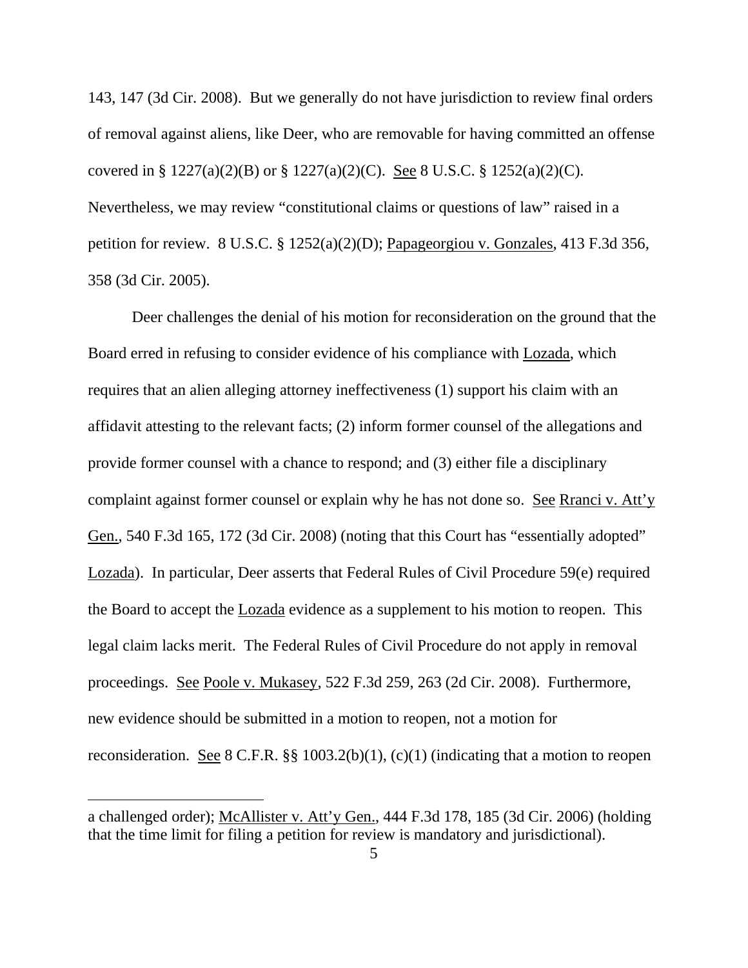143, 147 (3d Cir. 2008). But we generally do not have jurisdiction to review final orders of removal against aliens, like Deer, who are removable for having committed an offense covered in § 1227(a)(2)(B) or § 1227(a)(2)(C). See 8 U.S.C. § 1252(a)(2)(C). Nevertheless, we may review "constitutional claims or questions of law" raised in a petition for review. 8 U.S.C. § 1252(a)(2)(D); Papageorgiou v. Gonzales, 413 F.3d 356, 358 (3d Cir. 2005).

Deer challenges the denial of his motion for reconsideration on the ground that the Board erred in refusing to consider evidence of his compliance with Lozada, which requires that an alien alleging attorney ineffectiveness (1) support his claim with an affidavit attesting to the relevant facts; (2) inform former counsel of the allegations and provide former counsel with a chance to respond; and (3) either file a disciplinary complaint against former counsel or explain why he has not done so. See Rranci v. Att'y Gen., 540 F.3d 165, 172 (3d Cir. 2008) (noting that this Court has "essentially adopted" Lozada). In particular, Deer asserts that Federal Rules of Civil Procedure 59(e) required the Board to accept the Lozada evidence as a supplement to his motion to reopen. This legal claim lacks merit. The Federal Rules of Civil Procedure do not apply in removal proceedings. See Poole v. Mukasey, 522 F.3d 259, 263 (2d Cir. 2008). Furthermore, new evidence should be submitted in a motion to reopen, not a motion for reconsideration. See 8 C.F.R.  $\S$  1003.2(b)(1), (c)(1) (indicating that a motion to reopen

 $\overline{a}$ 

a challenged order); McAllister v. Att'y Gen., 444 F.3d 178, 185 (3d Cir. 2006) (holding that the time limit for filing a petition for review is mandatory and jurisdictional).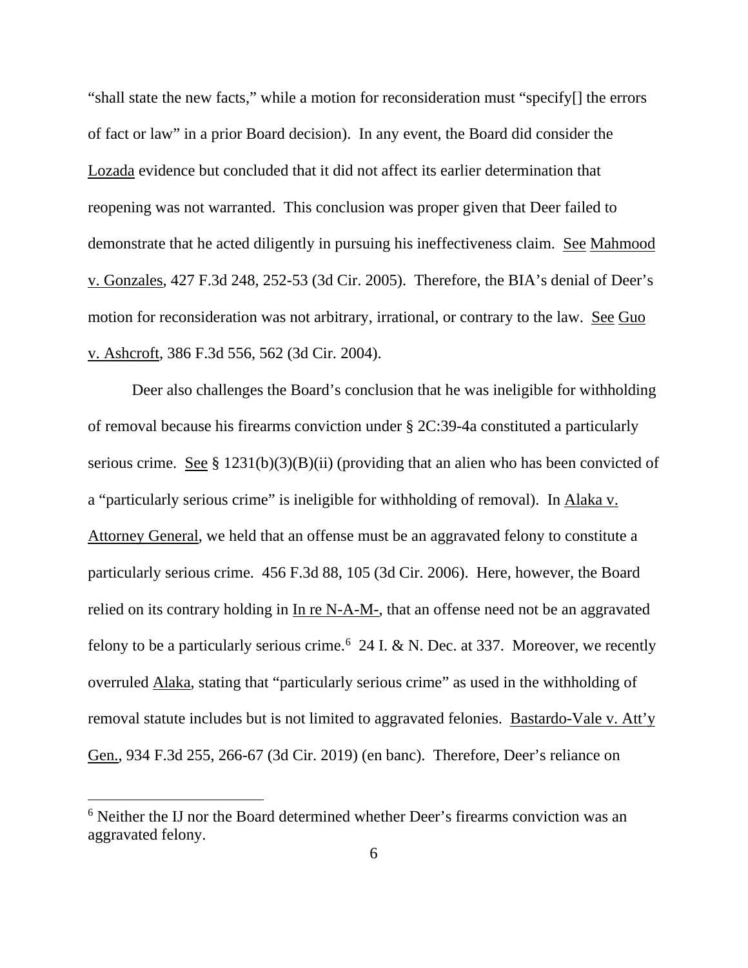"shall state the new facts," while a motion for reconsideration must "specify[] the errors of fact or law" in a prior Board decision). In any event, the Board did consider the Lozada evidence but concluded that it did not affect its earlier determination that reopening was not warranted. This conclusion was proper given that Deer failed to demonstrate that he acted diligently in pursuing his ineffectiveness claim. See Mahmood v. Gonzales, 427 F.3d 248, 252-53 (3d Cir. 2005). Therefore, the BIA's denial of Deer's motion for reconsideration was not arbitrary, irrational, or contrary to the law. See Guo v. Ashcroft, 386 F.3d 556, 562 (3d Cir. 2004).

Deer also challenges the Board's conclusion that he was ineligible for withholding of removal because his firearms conviction under § 2C:39-4a constituted a particularly serious crime. See § 1231(b)(3)(B)(ii) (providing that an alien who has been convicted of a "particularly serious crime" is ineligible for withholding of removal). In Alaka v. Attorney General, we held that an offense must be an aggravated felony to constitute a particularly serious crime. 456 F.3d 88, 105 (3d Cir. 2006). Here, however, the Board relied on its contrary holding in In re N-A-M-, that an offense need not be an aggravated felony to be a particularly serious crime.<sup>6</sup> 24 I. & N. Dec. at 337. Moreover, we recently overruled Alaka, stating that "particularly serious crime" as used in the withholding of removal statute includes but is not limited to aggravated felonies. Bastardo-Vale v. Att'y Gen., 934 F.3d 255, 266-67 (3d Cir. 2019) (en banc). Therefore, Deer's reliance on

<sup>&</sup>lt;sup>6</sup> Neither the IJ nor the Board determined whether Deer's firearms conviction was an aggravated felony.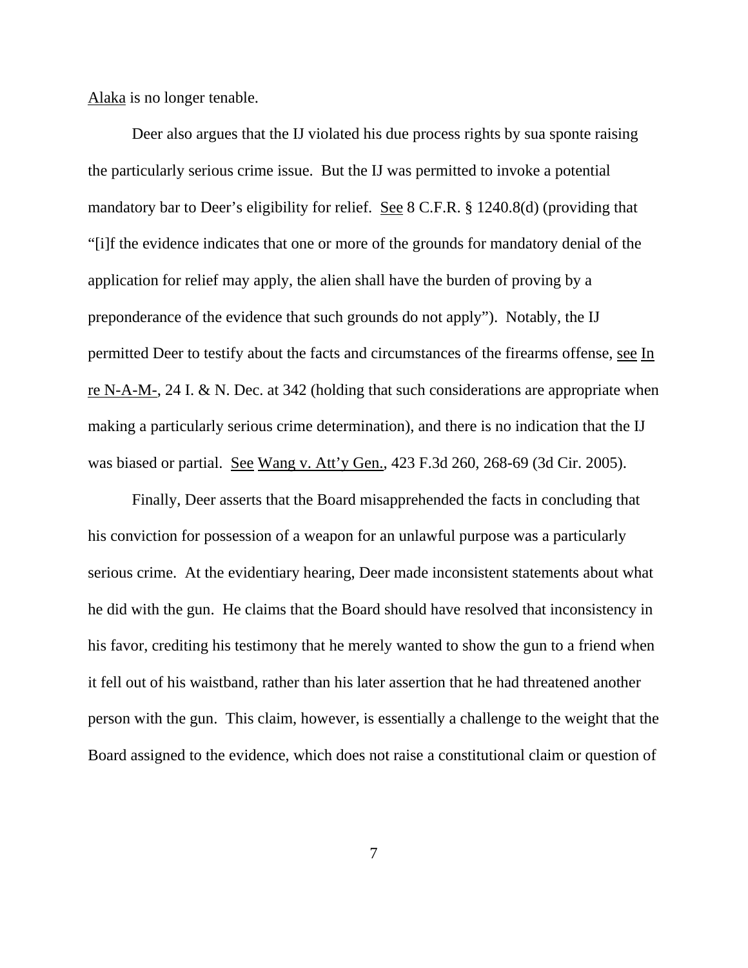Alaka is no longer tenable.

Deer also argues that the IJ violated his due process rights by sua sponte raising the particularly serious crime issue. But the IJ was permitted to invoke a potential mandatory bar to Deer's eligibility for relief. See 8 C.F.R. § 1240.8(d) (providing that "[i]f the evidence indicates that one or more of the grounds for mandatory denial of the application for relief may apply, the alien shall have the burden of proving by a preponderance of the evidence that such grounds do not apply"). Notably, the IJ permitted Deer to testify about the facts and circumstances of the firearms offense, see In re N-A-M-, 24 I. & N. Dec. at 342 (holding that such considerations are appropriate when making a particularly serious crime determination), and there is no indication that the IJ was biased or partial. See Wang v. Att'y Gen., 423 F.3d 260, 268-69 (3d Cir. 2005).

Finally, Deer asserts that the Board misapprehended the facts in concluding that his conviction for possession of a weapon for an unlawful purpose was a particularly serious crime. At the evidentiary hearing, Deer made inconsistent statements about what he did with the gun. He claims that the Board should have resolved that inconsistency in his favor, crediting his testimony that he merely wanted to show the gun to a friend when it fell out of his waistband, rather than his later assertion that he had threatened another person with the gun. This claim, however, is essentially a challenge to the weight that the Board assigned to the evidence, which does not raise a constitutional claim or question of

7